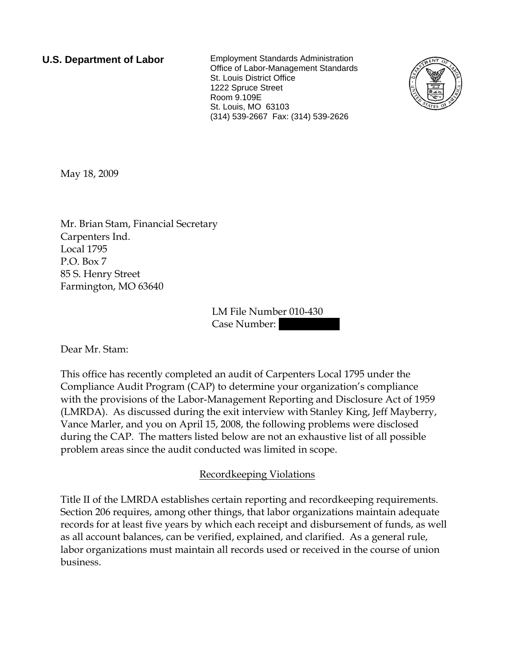**U.S. Department of Labor** Employment Standards Administration Office of Labor-Management Standards St. Louis District Office 1222 Spruce Street Room 9.109E St. Louis, MO 63103 (314) 539-2667 Fax: (314) 539-2626



May 18, 2009

Mr. Brian Stam, Financial Secretary Carpenters Ind. Local 1795 P.O. Box 7 85 S. Henry Street Farmington, MO 63640

> LM File Number 010-430 Case Number:

Dear Mr. Stam:

This office has recently completed an audit of Carpenters Local 1795 under the Compliance Audit Program (CAP) to determine your organization's compliance with the provisions of the Labor-Management Reporting and Disclosure Act of 1959 (LMRDA). As discussed during the exit interview with Stanley King, Jeff Mayberry, Vance Marler, and you on April 15, 2008, the following problems were disclosed during the CAP. The matters listed below are not an exhaustive list of all possible problem areas since the audit conducted was limited in scope.

## Recordkeeping Violations

Title II of the LMRDA establishes certain reporting and recordkeeping requirements. Section 206 requires, among other things, that labor organizations maintain adequate records for at least five years by which each receipt and disbursement of funds, as well as all account balances, can be verified, explained, and clarified. As a general rule, labor organizations must maintain all records used or received in the course of union business.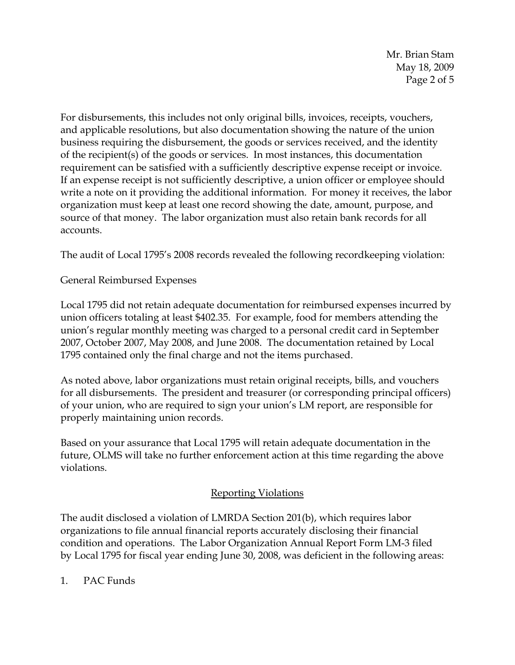Mr. Brian Stam May 18, 2009 Page 2 of 5

For disbursements, this includes not only original bills, invoices, receipts, vouchers, and applicable resolutions, but also documentation showing the nature of the union business requiring the disbursement, the goods or services received, and the identity of the recipient(s) of the goods or services. In most instances, this documentation requirement can be satisfied with a sufficiently descriptive expense receipt or invoice. If an expense receipt is not sufficiently descriptive, a union officer or employee should write a note on it providing the additional information. For money it receives, the labor organization must keep at least one record showing the date, amount, purpose, and source of that money. The labor organization must also retain bank records for all accounts.

The audit of Local 1795's 2008 records revealed the following recordkeeping violation:

General Reimbursed Expenses

Local 1795 did not retain adequate documentation for reimbursed expenses incurred by union officers totaling at least \$402.35. For example, food for members attending the union's regular monthly meeting was charged to a personal credit card in September 2007, October 2007, May 2008, and June 2008. The documentation retained by Local 1795 contained only the final charge and not the items purchased.

As noted above, labor organizations must retain original receipts, bills, and vouchers for all disbursements. The president and treasurer (or corresponding principal officers) of your union, who are required to sign your union's LM report, are responsible for properly maintaining union records.

Based on your assurance that Local 1795 will retain adequate documentation in the future, OLMS will take no further enforcement action at this time regarding the above violations.

## Reporting Violations

The audit disclosed a violation of LMRDA Section 201(b), which requires labor organizations to file annual financial reports accurately disclosing their financial condition and operations. The Labor Organization Annual Report Form LM-3 filed by Local 1795 for fiscal year ending June 30, 2008, was deficient in the following areas:

1. PAC Funds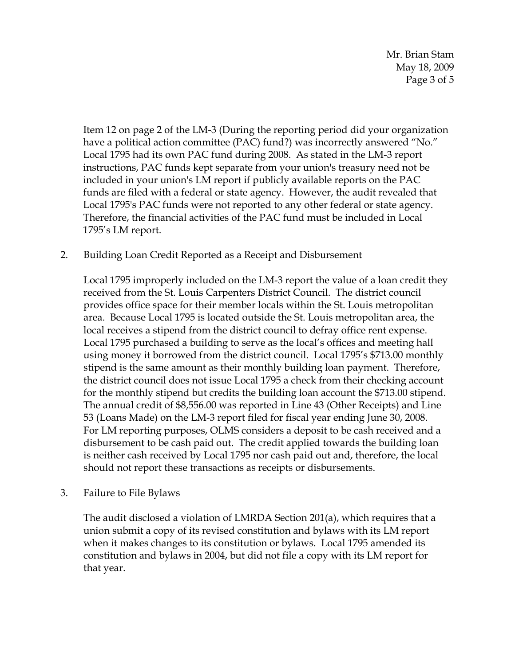Mr. Brian Stam May 18, 2009 Page 3 of 5

Item 12 on page 2 of the LM-3 (During the reporting period did your organization have a political action committee (PAC) fund?) was incorrectly answered "No." Local 1795 had its own PAC fund during 2008. As stated in the LM-3 report instructions, PAC funds kept separate from your union's treasury need not be included in your union's LM report if publicly available reports on the PAC funds are filed with a federal or state agency. However, the audit revealed that Local 1795's PAC funds were not reported to any other federal or state agency. Therefore, the financial activities of the PAC fund must be included in Local 1795's LM report.

2. Building Loan Credit Reported as a Receipt and Disbursement

Local 1795 improperly included on the LM-3 report the value of a loan credit they received from the St. Louis Carpenters District Council. The district council provides office space for their member locals within the St. Louis metropolitan area. Because Local 1795 is located outside the St. Louis metropolitan area, the local receives a stipend from the district council to defray office rent expense. Local 1795 purchased a building to serve as the local's offices and meeting hall using money it borrowed from the district council. Local 1795's \$713.00 monthly stipend is the same amount as their monthly building loan payment. Therefore, the district council does not issue Local 1795 a check from their checking account for the monthly stipend but credits the building loan account the \$713.00 stipend. The annual credit of \$8,556.00 was reported in Line 43 (Other Receipts) and Line 53 (Loans Made) on the LM-3 report filed for fiscal year ending June 30, 2008. For LM reporting purposes, OLMS considers a deposit to be cash received and a disbursement to be cash paid out. The credit applied towards the building loan is neither cash received by Local 1795 nor cash paid out and, therefore, the local should not report these transactions as receipts or disbursements.

3. Failure to File Bylaws

The audit disclosed a violation of LMRDA Section 201(a), which requires that a union submit a copy of its revised constitution and bylaws with its LM report when it makes changes to its constitution or bylaws. Local 1795 amended its constitution and bylaws in 2004, but did not file a copy with its LM report for that year.